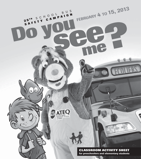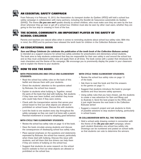

## **AN ESSENTIAL SAFETY CAMPAIGN**

From February 4 to February 15, 2013, the Association du transport écolier du Québec (ATEQ) will hold a school bus safety campaign in collaboration with many partners, including the Société de l'assurance automobile du Québec (SAAQ). The theme *Do you see me?* speaks directly to school children, who must make sure they are seen by the bus driver whenever they go near or get off a school bus. Children must also be seen by other road users, whether they are going to the bus stop or crossing in front of the bus.



### **THE SCHOOL COMMUNITY: AN IMPORTANT PLAYER IN THE SAFETY OF SCHOOL CHILDREN**

Parents and teachers are natural allies when it comes to reminding students about school bus safety rules. With this in mind, the ATEQ and its partners have released the tenth book for children in the Collection Bubusse series.



## **AN EDUCATIONAL BOOK**

*Sam and Bloop Celebrate (to celebrate the publication of the tenth book of the Collection Bubusse series)* is intended as a support resource for school bus safety activities for preschoolers and elementary school students. The book aims to help students understand that they are responsible for their own safety in and around the school bus and so they must understand safety rules and apply them at all times. The book comes with a poster that introduces the main characters and the theme of the campaign. We encourage you to prominently display the poster in your classroom and to explain the theme to your students



## **HOW TO USE THE BOOK**

#### **WITH PRESCHOOLERS AND CYCLE ONE ELEMENTARY STUDENTS:**

- Read the school bus safety rules on the back of this leaflet and discuss them with your students.
- Direct the students' attention to the questions asked by Bubusse, the school bus mascot.
- Explain to students what bullying is. Together, reread the parts of the book that deal with bullying. Ask students if they have ever been bullied, and whether they know who could help them if they were victims.
- Check with the transportation service that serves your school board to find out what objects are allowed or prohibited on school buses. Discuss this with students.
- Lend the book to one student every day throughout the safety campaign so they can read it at home with a parent. Parental involvement is crucial to adopting good behaviour.

#### **WITH CYCLE TWO ELEMENTARY STUDENTS:**

- Review the school bus safety rules on page 12 of the book.
- Have the book circulate among students and discuss the consequences of disobeying school bus safety rules.
- Place special emphasis on the questions and statements expressed by Bubusse, the school bus mascot, particularly when these deal with bullying. Discuss this issue with students, and tell them that bus drivers can help them if they are victims of bullying on the school bus.
- Suggest that students do some research on the school board's website to find out what objects are allowed or prohibited on the school bus.

#### **WITH CYCLE THREE ELEMENTARY STUDENTS:**

- Review the school bus safety rules on page 12 of the book.
- Ask them to read the book and find the answers to the games on page 11.
- Suggest that students introduce the book to vounger students and thus become safety sponsors.
- Using safety rules that you have chosen, ask the students to create a new adventure for Sam and Bloop and to illustrate it. Send the best project to the ATEQ, and it just might become the next book in the Collection Bubusse series!
- Suggest a research project and ask students to think of possible solutions to stop student bullying, particularly in school buses.

#### **IN COLLABORATION WITH ALL THE TEACHERS:**

• Hold a school-wide drawing contest in connection with the theme of the *Do you see me?* campaign, where each student illustrates one school bus safety rule. Drawings can be numbered and posted on school walls so that students can vote to determine the winners.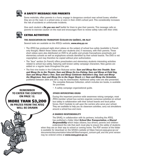

## **SAFETY MESSAGE FOR PARENTS**

Some motorists, often parents in a hurry, engage in dangerous conduct near school buses, whether they are on the road, in a school zone, or even in their child's school yard. This considerably increases the risk of accidents or unfortunate incidents.

Give each student a *Do you see me?* leaflet for them to give their parents. This message calls on parents to exercise caution on the road and encourages them to review safety rules with their child.



**REMEMBER TO ENTER THE CONTEST ON PAGE 12. MORE THAN \$3,200 IN PRIZES FROM THE ATEQ WILL BE DRAWN**

## **EXTRA ACTIVITIES**

#### **THE ASSOCIATION DU TRANSPORT ÉCOLIER DU QUÉBEC, AN ALLY**

Several tools are available on the ATEQ's website, **www.ateq.qc.ca**:

- The ATEQ has produced eight short videos on the subiect of school bus safety (available in French) only though). Watch these videos with your students and, if necessary, with their parents. These short videos were also distributed on DVD to all public and private francophone preschools and elementary schools as well as anglophone schools identified by their school boards. The DVD is not copyrighted, and may therefore be copied without prior authorization.
- The "Jeux" section (in French) offers preschoolers and elementary students interesting activities related to school bus safety, featuring well-known safety campaign characters. New games are added on a regular basis throughout the year.
- The first nine books in the Collection Bubusse series: **Sam and Bloop Run into Trouble**, **Sam** *and Bloop Go to the Theatre*, *Sam and Bloop Go Ice-Fishing*, *Sam and Bloop at Field Day*, *Sam and Bloop Plant a Tree*, *Sam and Bloop Celebrate Valentine's Day*, *Sam and Bloop the Magicians*, *Sam and Bloop Go to the Sugar Shack* and *Sam and Bloop the Scientists*, published between 2004 and 2012, may be downloaded. Additional safety rules are also presented.

The complete Bubusse Collection, which includes ten books, is available for purchase.

• A safety campaign organizational guide.

#### **OTHER INTERESTING IDEAS**

During this important province-wide awareness raising campaign, most ATEQ member school bus carriers organize numerous activities on school bus safety in collaboration with their school boards and local police forces. Don't hesitate to call upon the carriers who serve your school. They are available to help you do classroom activities, carry out simulations around a school bus and more.

#### **A SHARED RESPONSIBILITY**

The SAAQ, in collaboration with its partners, including the ATEQ, has published a folder titled *School Bus Transportation, a Shared Responsibility* which helps citizens, bus drivers, parents and children

understand the role that each must play to ensure the safety of students when they are on their way to school or coming home. The PDF version of the folder is available for download on the SAAQ's website at https://secure.saaq.gouv.qc.ca/ documents/documentation/sites/all/files/transport\_concern.pdf, and the print version may be ordered online at **www.saaq.gouv.qc.ca**.